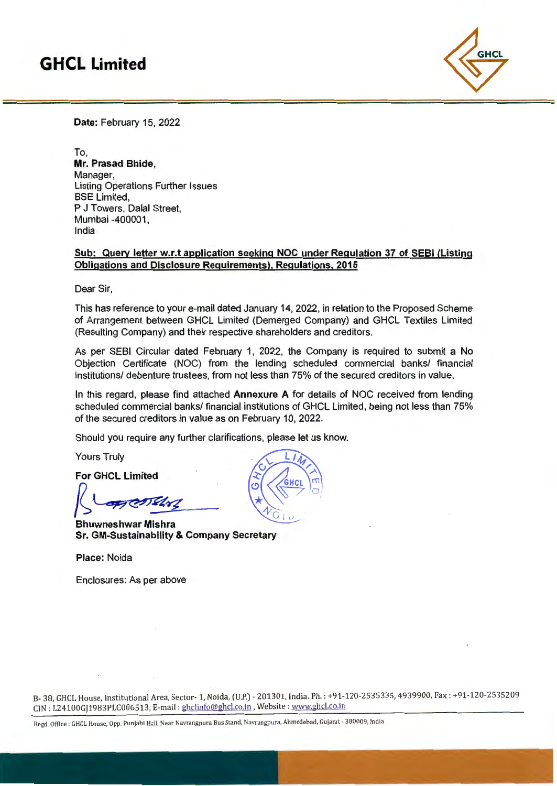# **GHCL Limited**



**Date:** February 15, 2022

To, **Mr. Prasad Bhide,**  Manager, Listing Operations Further Issues **BSE Limited,** P J Towers, Dalal Street, Mumbai -400001, India

### **Sub: Query letter w.r.t application seeking NOC under Regulation 37 of SEBI (Listing Obligations and Disclosure Requirements), Regulations, 2015**

Dear Sir,

This has reference to your e-mail dated January 14, 2022, in relation to the Proposed Scheme of Arrangement between GHCL Limited (Demerged Company) and GHCL Textiles Limited (Resulting Company) and their respective shareholders and creditors.

As per SEBI Circular dated February 1, 2022, the Company is required to submit a No Objection Certificate (NOC) from the lending scheduled commercial banks/ financial institutions/ debenture trustees, from not less than 75% of the secured creditors in value.

In this regard, please find attached **Annexure A** for details of NOC received from lending scheduled commercial banks/ financial institutions of GHCL Limited, being not less than 75% of the secured creditors in value as on February 10, 2022.

Should you require any further clarifications, please let us know.

Yours Truly

**For GHCL Limited** 

 $\sqrt{2\pi}$ 

**Bhuwneshwar Mishra Sr. GM-Sustainability & Company Secretary** 

**Place:** Noida

Enclosures: As per above

.---.

B- 38, GHCL House, Institutional Area, Sector-1, Naida, (U.P.)- 201301, India. Ph. : +91-120-2535335, 4939900, Fax: +91-120-2535209 CJN: L24100Gjl 983PLC006513, E-mail: ghclinfo@ghcl.co.in ,Website: www.ghcl.co.in

Regd. Office : GHCL House, Opp. Punjabi Hall, Near Navrangpura Bus Stand, Navrangpura, Ahmedabad, Gujarat - 380009, India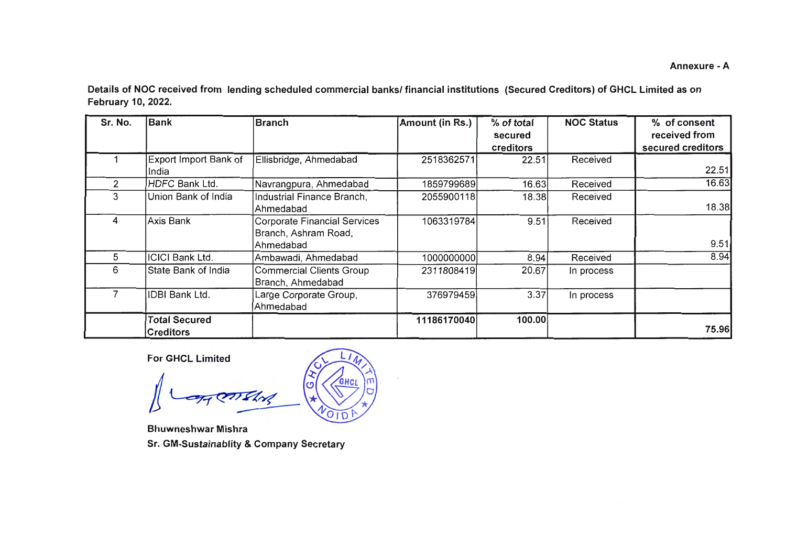Annexure -A

Details of NOC received from lending scheduled commercial banks/ financial institutions (Secured Creditors) of GHCL Limited as on February 10, 2022.

| Sr. No. | <b>Bank</b>                              | <b>Branch</b>                                                     | Amount (in Rs.) | % of total<br>secured<br>creditors | <b>NOC Status</b> | % of consent<br>received from<br>secured creditors |
|---------|------------------------------------------|-------------------------------------------------------------------|-----------------|------------------------------------|-------------------|----------------------------------------------------|
|         | Export Import Bank of<br>India           | Ellisbridge, Ahmedabad                                            | 2518362571      | 22.51                              | Received          | 22.51                                              |
| 2       | HDFC Bank Ltd.                           | Navrangpura, Ahmedabad                                            | 1859799689      | 16.63                              | Received          | 16.63                                              |
| 3       | Union Bank of India                      | Industrial Finance Branch,<br>Ahmedabad                           | 2055900118      | 18.38                              | Received          | 18.38                                              |
| 4       | Axis Bank                                | Corporate Financial Services<br>Branch, Ashram Road,<br>Ahmedabad | 1063319784      | 9.51                               | Received          | 9.51                                               |
| 5       | <b>ICICI Bank Ltd.</b>                   | Ambawadi, Ahmedabad                                               | 1000000000      | 8.94                               | Received          | 8.94                                               |
| 6       | State Bank of India                      | <b>Commercial Clients Group</b><br>Branch, Ahmedabad              | 2311808419      | 20.67                              | In process        |                                                    |
|         | IDBI Bank Ltd.                           | Large Corporate Group,<br>Ahmedabad                               | 376979459       | 3.37                               | In process        |                                                    |
|         | <b>Total Secured</b><br><b>Creditors</b> |                                                                   | 11186170040     | 100.00                             |                   | 75.96                                              |

**For GHCL Limited** 

 $\frac{1}{\sqrt{2}}$ 

Bhuwneshwar Mishra

Sr. GM-Sustainablity & Company Secretary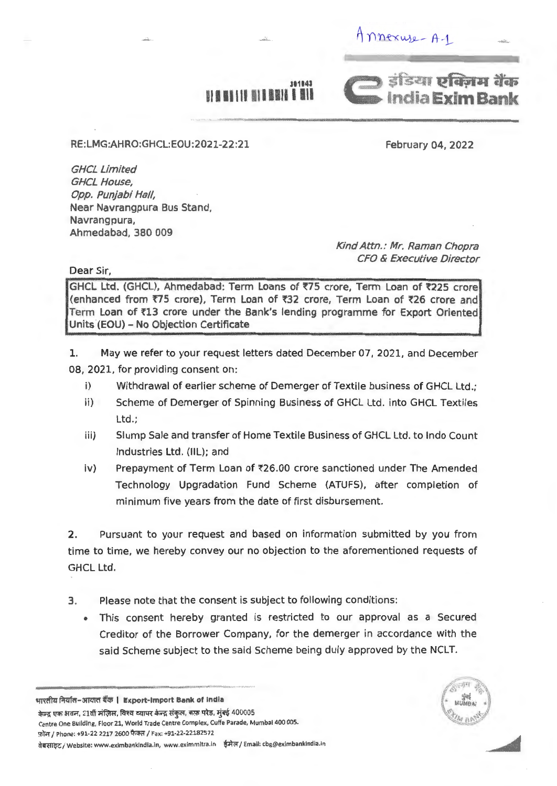$M$ nnexuse -  $A - 1$ 



**311141** 

+~~~,--------------------- --- ---- ----- .. RE:LMG:AHRO:GHCL:EOU:2021-22:21

February 04, 2022

GHCL limited GHCL House, Opp. Punjabi Hall, Near Navrangpura Bus Stand, Navrangpura, Ahmedabad, 380 009

> Kind Attn.: Mr. Raman Chopra CFO & Executive Director

Dear Sir,

GHCL Ltd. (GHCL), Ahmedabad: Term Loans of ₹75 crore, Term Loan of ₹225 crore (enhanced from ₹75 crore), Term Loan of ₹32 crore, Term Loan of ₹26 crore and Term Loan of l'l3 crore under the Bank's lending programme for Export Oriented Units (EOU) - No Objection Certificate

1. May we refer to your request letters dated December 07, 2021, and December 08, 2021, for providing consent on:

- i) Withdrawal of earlier scheme of Demerger of Textile business of GHCL Ltd.;
- ii) Scheme of Demerger of Spinning Business of GHCL Ltd. into GHCL Textiles Ltd.;
- iii) Slump Sale and transfer of Home Textile Business of GHCL Ltd. to Indo Count Industries Ltd. (llL); and
- iv) Prepayment of Term Loan of ₹26.00 crore sanctioned under The Amended Technology Upgradation Fund Scheme (ATUFS), after completion of minimum five years from the date of first disbursement.

2. Pursuant to your request and based on information submitted by you from time to time, we hereby convey our no objection to the aforementioned requests of GHCL Ltd.

- 3. Please note that the consent is subject to following conditions:
	- This consent hereby granted is restricted to our approval as a Secured Creditor of the Borrower Company, for the demerger in accordance with the said Scheme subject to the said Scheme being duly approved by the NCLT.

भारतीय निर्यात-आयात बैंक | Export-Import Bank of India

केन्द्र एक भवन, 21वीं मंज़िल, विश्व व्यापर केन्द्र संकुल, कफ़ परेड, मुंबई 400005 Centre One Building, Floor 21, World Trade Centre Complex, Cuffe Parade, Mumbai 400 005. फ़ोल / Phone: +91-22 2217 2600 फैक्स / Fax: +91-22-22182572 dबसाइट / Website: www.eximbankindia.in, www.eximmitra.in ईमेल / Email: cbg@eximbankindia.ir

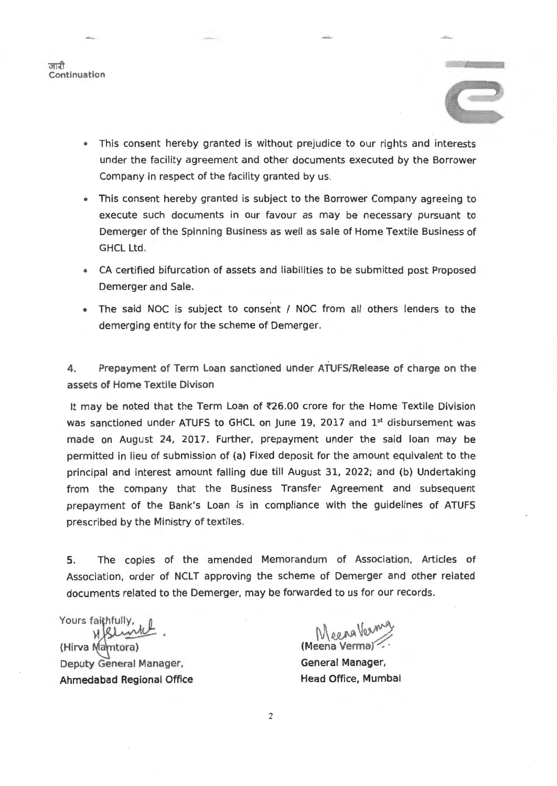



~' ·-~

- This consent hereby granted is without prejudice to our rights and interests under the facility agreement and other documents executed by the Borrower Company in respect of the facility granted by us.
- This consent hereby granted is subject to the Borrower Company agreeing to execute such documents in our favour as may be necessary pursuant to Demerger of the Spinning Business as well as sale of Home Textile Business of GHCL Ltd.
- CA certified bifurcation of assets and liabilities to be submitted post Proposed Demerger and Sale.
- The said NOC is subject to consent / NOC from all others lenders to the demerging entity for the scheme of Demerger.

4. Prepayment of Term Loan sanctioned under ATUFS/Release of charge on the assets of Home Textile Divison

It may be noted that the Term Loan of  $726.00$  crore for the Home Textile Division was sanctioned under ATUFS to GHCL on June 19, 2017 and  $1<sup>st</sup>$  disbursement was made on August 24, 2017. Further, prepayment under the said loan may be permitted in lieu of submission of (a) Fixed deposit for the amount equivalent to the principal and interest amount falling due till August 31, 2022; and (b) Undertaking from the company that the Business Transfer Agreement and subsequent prepayment of the Bank's Loan is in compliance with the guidelines of ATUFS prescribed by the Ministry of textiles.

5. The copies of the amended Memorandum of Association, Articles of Association, order of NCLT approving the scheme of Demerger and other related documents related to the Demerger, may be forwarded to us for our records.

Yours faithfully, (Hirva Mamtora)

Deputy General Manager, Ahmedabad Regional Office

(Meena Verma) ~

General Manager, Head Office, Mumbai

2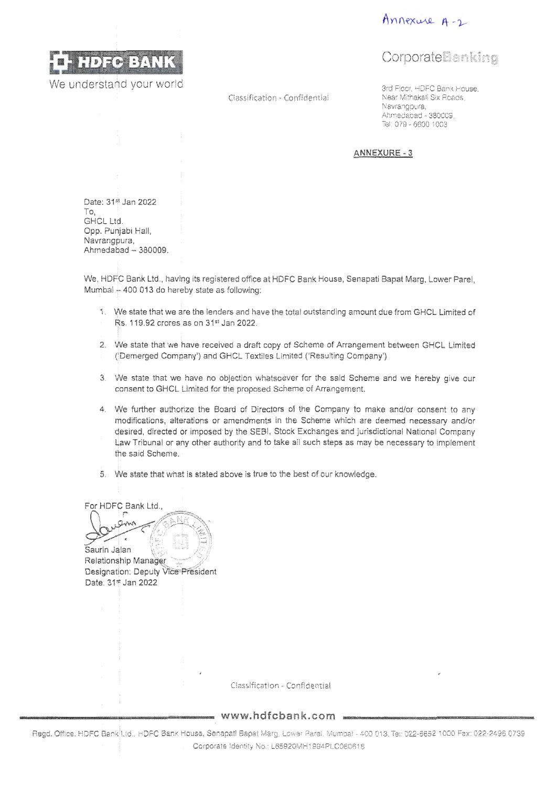



We understand your world

C!assification ·Confidential

## **CorporateBanking**

3rd Fioor, HDFC Bank House, Near Mithakali Six Reads, Navrangpura, Ahrnedabad - 380009. Tel 079 - 6600 1003

**ANNEXURE-3** 

Date: 314 Jan 2022 To, GHCL Ltd. Opp. Punjabi Hall, Navrangpura, Ahmedabad - 380009.

We, HDFC Bank Ltd., having its registered office at HDFC Bank House, Senapati Bapat Marg, Lower Parel, Mumbai  $+$  400 013 do hereby state as following:

- 1. We state that we are the lenders and have the total outstanding amount due from GHCL Limited of Rs. 119.92 crores as on 31•t Jan 2022. I
- 2. We state that we have received a draft copy of Scheme of Arrangement between GHCL Limited (!Demerged Company') and GHCL Textiles Limited ('Resulting Company')
- 3. We state that we have no objection whatsoever for the said Scheme and we hereby give our consent to GHCL Limited for the proposed Scheme of Arrangement.
- 4. We further authorize the Board of Directors of the Company to make and/or consent to any modifications, alterations or amendments in the Scheme which are deemed necessary and/or desired, directed or imposed by the SEBI, Stock Exchanges and jurisdictional National Company !law Tribunal or any other authority and to take a!! such steps as may be necessary to implement the said Scheme.
- 5. We state that what is stated above is true to the best of our knowledge.

For HDFC Bank Ltd.,

ann . <u>'</u> 195. Saurin Jalan<br>Relationship Manager Saurin Jalan

Designation: Deputy Vice President Date: 31\* Jan 2022

ctassifitatlon - Confidential

**www.hdfcbank.com** 

Regd. Office: HDFC Bank Ltd., HDFC Bank House, Senapati Bapat Marg, Lower Parel, Mumbai - 400 013. Tei: 022-6652 1000 Fax: 022-2496 0739 Corporate Identity No.: l65920MH1994PLC080618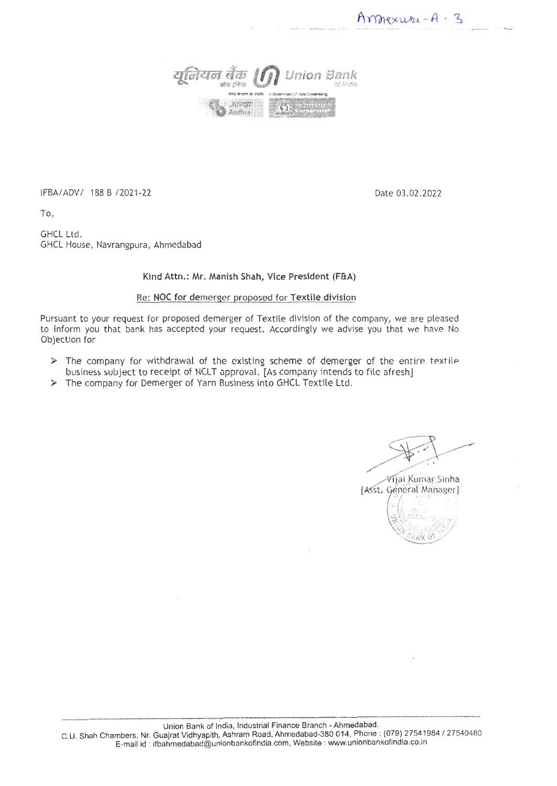*aQZ1<11* tfi6 *lfj)* **Union Bank**  wits {Ren \*\*\*\*\*\*\*\*\*\* 3975971 Andhus

IFBA/ADV/ 188 B /2021-22 Date 03.02.2022

Amnexure-A-3

To,

GHCL Ltd. GHCL House, Navrangpura, Ahmedabad

### Kind Attn.: Mr. Manish Shah, Vice President (F&A)

#### Re: NOC for demerger proposed for Textile division

Pursuant to your request for proposed demerger of Textile division of the company, we are pleased to inform you that bank has accepted your request. Accordingly we advise you that we have No Objection for

- $\triangleright$  The company for withdrawal of the existing scheme of demerger of the entire textile. business subject to receipt of NCLT approval. [As company intends to file afresh]
- )> The company for Demerger of Yarn Business into GHCL Textile Ltd.

 $\forall$ ijai Kumar Sinha

<sup>~</sup>

[Asst. General Manager]  $\mathcal{C}=\left\{ \begin{matrix} \mathcal{B}^{\prime}_{\mathbf{A}} & \mathcal{B}^{\prime\pm}}\mathcal{B}^{\prime\pm} & \mathcal{B}^{\prime\pm} \mathcal{B}^{\prime\pm} \mathcal{B}^{\prime\pm} \mathcal{B}^{\prime\pm} \mathcal{B}^{\prime\pm} \mathcal{B}^{\prime\pm} \mathcal{B}^{\prime\pm} \mathcal{B}^{\prime\pm} \mathcal{B}^{\prime\pm} \mathcal{B}^{\prime\pm} \mathcal{B}^{\prime\pm} \mathcal{B}^{\prime\pm} \mathcal{B}^{\prime\pm} \mathcal{B}^$ • [ f ,'. •. ' • J ~ ~> , ""'~·· '~ "" .,,,. ' \'<·,< ''"·&1 *h* '• ,.,..;· *·-::-'V!* ' <''·/ <:· . *. . . . .*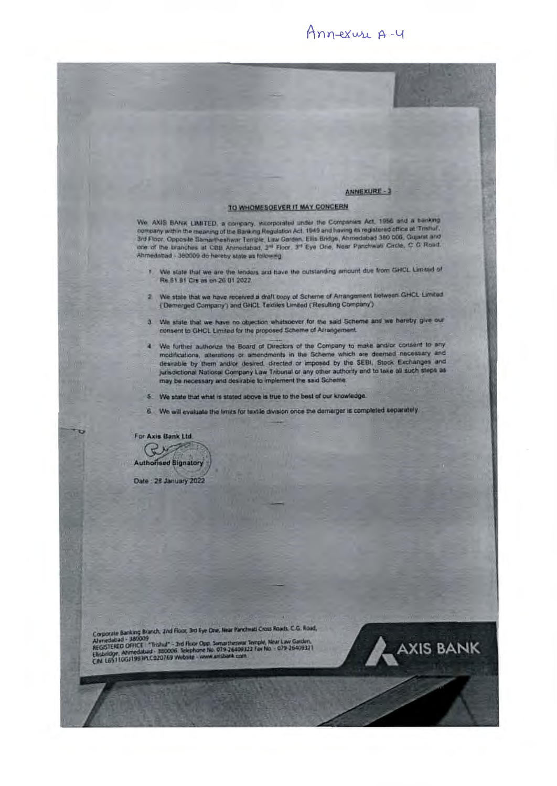### Ann-exure A-4

### ANNEXURE-1

### TO WHOMESOEVER IT MAY CONCERN

Ahmedabad - 380009 do hereby state as following. - J Floor, Opposite Samartheshwar Temple, Law Garden, Ellis Bridge, Ahmedabad 380 000, Capital<br>- of the branches at CBB Ahmedabad, 2<sup>99</sup> Floor: 3<sup>99</sup> Eye One, Near Panchwalt Circle, C. G. Road<br>- Mile chan Mathematic Incide company within the meaning of the Barking Regulation Act. 1949 and having its registered office at 'Trisher.<br>3rd Floor, Opposite Samartheshwar Temple, Law Garden, Ellis Bridge, Ahmedabad 360 006, Gujarat and<br>one of the ter We AXIS BANK LIMITED, a company, incorporated under the Companies Act, 1956 and a tranking<br>company within the meaning of the Banking Regulation Act, 1949 and having its registered office at "Trishu".<br>3rd Floor, Opposite Sa

- Re 61.91 Cm as on 26 01 2022. I. We state that we are the lenders and have the outstanding amount due from GHCL Limited of
- $\{$  Demerged Company') and GHCL Textiles Limited (Resulting Company') 2. We state that we have received a draft copy of Scheme of Arrangement between GHCL Limited
- 3. We state that we have no objection whatsoever for the said Scheme and we hereby give our consent to GHCL Limited for the proposed Scheme of Arrangement.
- 4 We further authorize the Board of Directors of the Company to make and/or consent to any modifications, alterations or amendments in the Scheme which are deemed increasing and desirable by them and/or desired, directed or imposed by the SEBI, Stock Exchanges and jurisdictional National Company Law Tribunal or any other authority and to take all such steps as may be necessary and desirable to implement the said Scheme.
- 5. We state that what is stated above is true to the best of our knowledge.
- 6. We will evaluate the limits for textile division once the demarger is completed separately

For Axis Bank Ltd. Ry **Authorised Signatory** 

Date: 28 January 2022

Corporate Banking Branch, 2nd Root, 3rd Eye One, Near Panchreat Cross Roads, C.G., Road, Corporate Banking Branch, Zind Floor, 3rd Eye One, Near Panchisti Cross Koads, C.G., Koad<br>Alvinedabad - 380009<br>REGISTEREO OFFICE - "Tinzhal" - 3rd Floor Opp, Samartheswar Terrole, Near Law Garden,<br>Elizabilitye, Alvinedabad

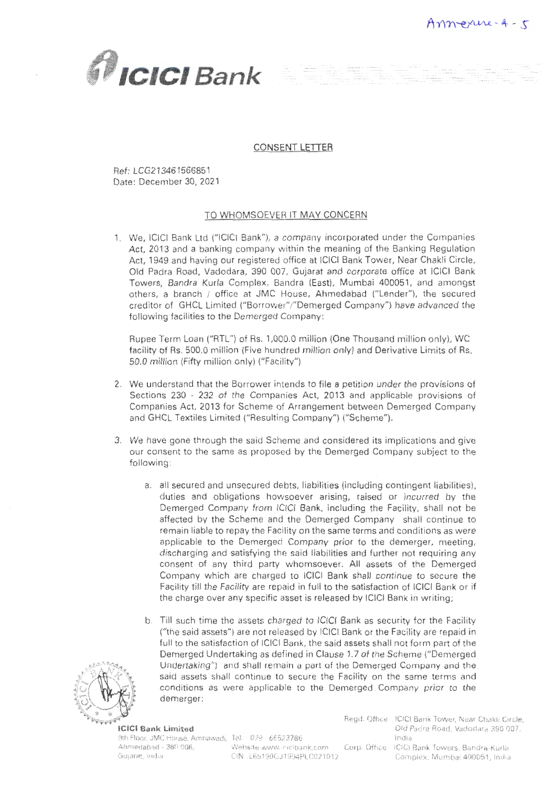

### CONSENT LETTER

Ref: LCG213461566851 Date: December 30, 2021

### TO WHOMSOEVER IT MAY CONCERN

1. We, ICICI Bank Ltd ("ICICI Bank"), a company incorporated under the Companies Act, 2013 and a banking company within the meaning of the Banking Regulation Act, 1949 and having our registered office at lCICI Bank Tower, Near Chakli Circle, Old Padra Road, Vadodara, 390 007, Gujarat and corporate office at lCICl Bank Towers, Bandra Kurla Complex, Bandra (East), Mumbai 400051, and amongst others, a branch / office at JMC House, Ahmedabad ("Lender"), the secured creditor of GHCL Limited {"Borrower"/"Oemerged Company") have advanced the following facilities to the Demerged Company:

Rupee Term Loan ("RTL"} of Rs. 1,000.0 million (One Thousand million only), WC facility of Rs. 500.0 million (Five hundred million only) and Derivative Limits of Rs. 50.0 million (Fifty million only) ("Facility"}

- 2. We understand that the Borrower intends to file a petition under the provisions of Sections 230 - 232 of the Companies Act, 2013 and applicable provisions of Companies Act, 2013 for Scheme of Arrangement between Demerged Company and GHCL Textiles Limited ("Resulting Company") {"Scheme").
- 3. We have gone through the said Scheme and considered its implications and give our consent to the same as proposed by the Demerged Company subject to the following:
	- a. all secured and unsecured debts, liabilities (including contingent liabilities), duties and obligations howsoever arising, raised or incurred by the Demerged Company from ICICI Bank, including the Facility, shall not be affected by the Scheme and the Demerged Company shall continue to remain liable to repay the Facility on the same terms and conditions as were applicable to the Demerged Company prior to the demerger, meeting, discharging and satisfying the said liabilities and further not requiring any consent of any third party whomsoever. All assets of the Demerged Company which are charged to ICICI Bank shall continue to secure the Facility till the Facility are repaid in full to the satisfaction of lCICI Bank or if the charge over any specific asset is released by ICICl Bank in writing;
	- b. Till such time the assets charged to IC!CI Bank as security for the Facility {"the said assets") are not released by ICICI Bank or the Facility are repaid in full to the satisfaction of IClCI Bank, the said assets shall not form part of the Demerged Undertaking as defined in Clause 1.7 of the Scheme ("Demerged") Undertaking") and shall remain a part of the Demerged Company and the said assets shall continue to secure the Facility on the same terms and conditions as were applicable to the Dernerged Company prior to the demerger;



### ICJCI Bank Limited

9th Floor, JMC House, Ambawadl, Tel. , 079 · 66523786

Gujarat, India, CIN :L65190GJ1994PLC021012

Ahmedabad • 380 006, Website www.icicibank.com Corp. Office iCICl Bank Towers, Bandra-Kurla Regd. Office : IC!CI Bank Tower, Near Chakli Circle, Old Padra Road, Vadodara 390 007, India, Complex, Mumbai 400051, India